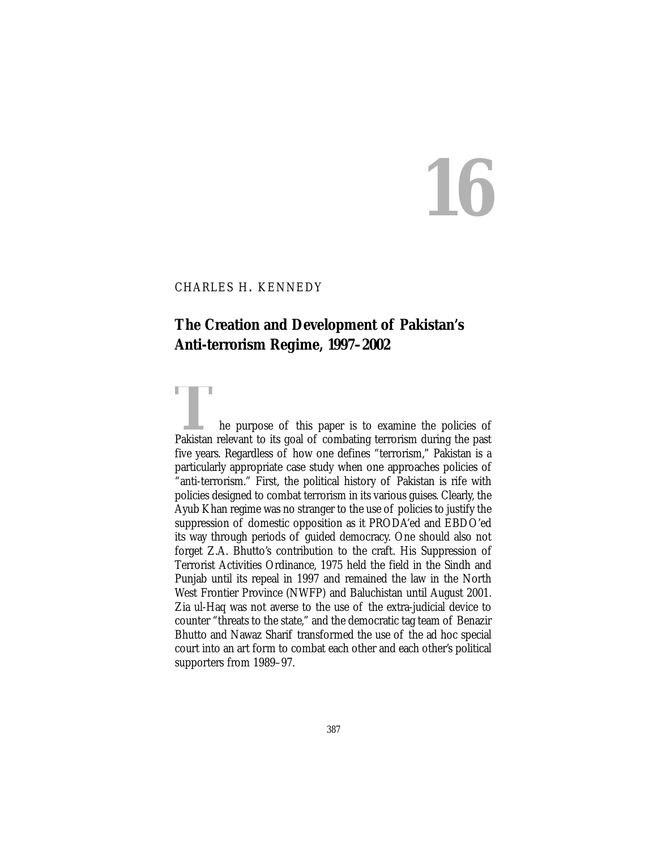# **16**

## CHARLES H. KENNEDY

# **The Creation and Development of Pakistan's Anti-terrorism Regime, 1997–2002**

The purpose of this paper is to examine the policies of<br>Pakistan relevant to its goal of combating terrorism during the past five years. Regardless of how one defines "terrorism," Pakistan is a particularly appropriate case study when one approaches policies of "anti-terrorism." First, the political history of Pakistan is rife with policies designed to combat terrorism in its various guises. Clearly, the Ayub Khan regime was no stranger to the use of policies to justify the suppression of domestic opposition as it PRODA'ed and EBDO'ed its way through periods of guided democracy. One should also not forget Z.A. Bhutto's contribution to the craft. His Suppression of Terrorist Activities Ordinance, 1975 held the field in the Sindh and Punjab until its repeal in 1997 and remained the law in the North West Frontier Province (NWFP) and Baluchistan until August 2001. Zia ul-Haq was not averse to the use of the extra-judicial device to counter "threats to the state," and the democratic tag team of Benazir Bhutto and Nawaz Sharif transformed the use of the ad hoc special court into an art form to combat each other and each other's political supporters from 1989–97.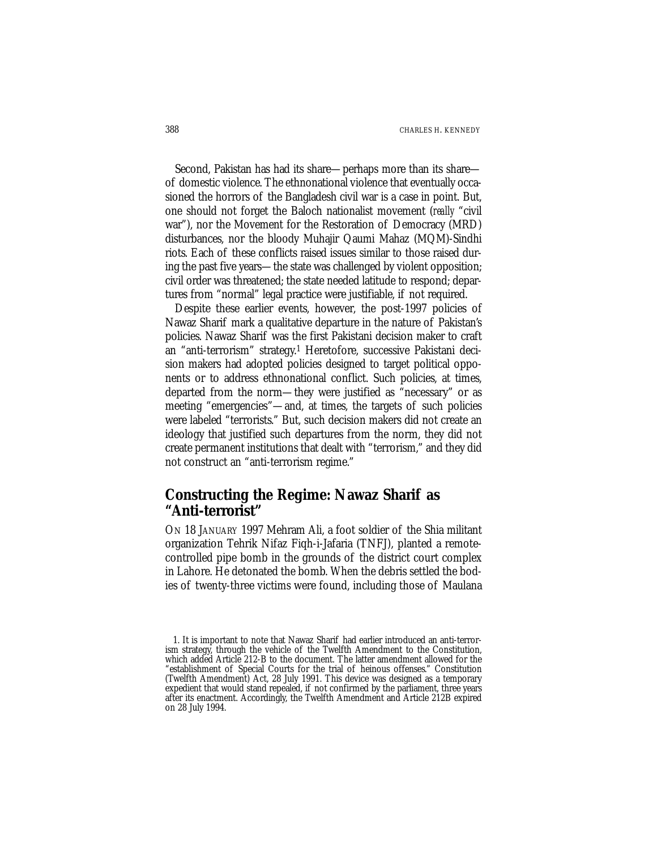Second, Pakistan has had its share—perhaps more than its share of domestic violence. The ethnonational violence that eventually occasioned the horrors of the Bangladesh civil war is a case in point. But, one should not forget the Baloch nationalist movement (*really* "civil war"), nor the Movement for the Restoration of Democracy (MRD) disturbances, nor the bloody Muhajir Qaumi Mahaz (MQM)-Sindhi riots. Each of these conflicts raised issues similar to those raised during the past five years—the state was challenged by violent opposition; civil order was threatened; the state needed latitude to respond; departures from "normal" legal practice were justifiable, if not required.

Despite these earlier events, however, the post-1997 policies of Nawaz Sharif mark a qualitative departure in the nature of Pakistan's policies. Nawaz Sharif was the first Pakistani decision maker to craft an "anti-terrorism" strategy.1 Heretofore, successive Pakistani decision makers had adopted policies designed to target political opponents or to address ethnonational conflict. Such policies, at times, departed from the norm—they were justified as "necessary" or as meeting "emergencies"—and, at times, the targets of such policies were labeled "terrorists." But, such decision makers did not create an ideology that justified such departures from the norm, they did not create permanent institutions that dealt with "terrorism," and they did not construct an "anti-terrorism regime."

# **Constructing the Regime: Nawaz Sharif as "Anti-terrorist"**

ON 18 JANUARY 1997 Mehram Ali, a foot soldier of the Shia militant organization Tehrik Nifaz Fiqh-i-Jafaria (TNFJ), planted a remotecontrolled pipe bomb in the grounds of the district court complex in Lahore. He detonated the bomb. When the debris settled the bodies of twenty-three victims were found, including those of Maulana

<sup>1.</sup> It is important to note that Nawaz Sharif had earlier introduced an anti-terrorism strategy, through the vehicle of the Twelfth Amendment to the Constitution, which added Article 212-B to the document. The latter amendment allowed for the "establishment of Special Courts for the trial of heinous offenses." Constitution (Twelfth Amendment) Act, 28 July 1991. This device was designed as a temporary expedient that would stand repealed, if not confirmed by the parliament, three years after its enactment. Accordingly, the Twelfth Amendment and Article 212B expired on 28 July 1994.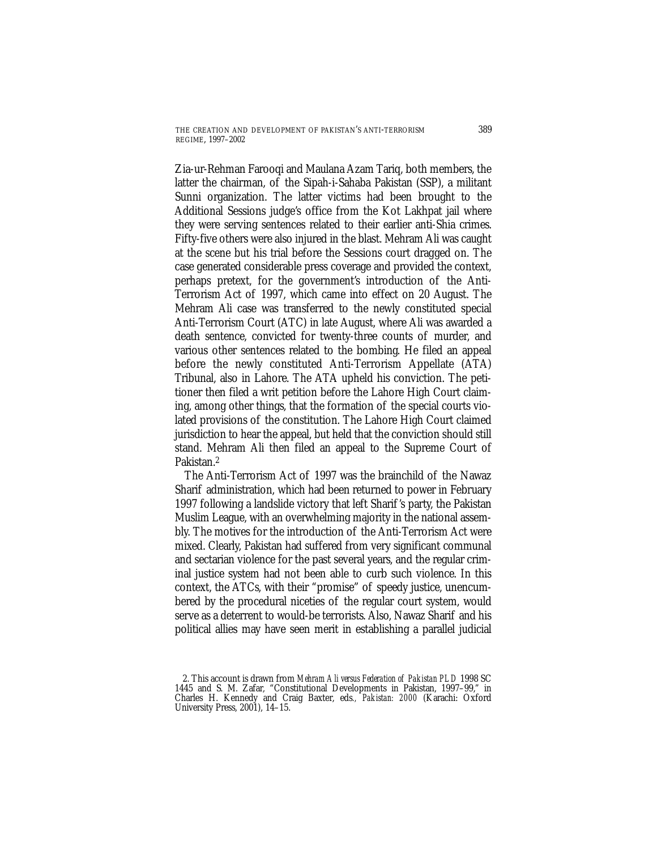Zia-ur-Rehman Farooqi and Maulana Azam Tariq, both members, the latter the chairman, of the Sipah-i-Sahaba Pakistan (SSP), a militant Sunni organization. The latter victims had been brought to the Additional Sessions judge's office from the Kot Lakhpat jail where they were serving sentences related to their earlier anti-Shia crimes. Fifty-five others were also injured in the blast. Mehram Ali was caught at the scene but his trial before the Sessions court dragged on. The case generated considerable press coverage and provided the context, perhaps pretext, for the government's introduction of the Anti-Terrorism Act of 1997, which came into effect on 20 August. The Mehram Ali case was transferred to the newly constituted special Anti-Terrorism Court (ATC) in late August, where Ali was awarded a death sentence, convicted for twenty-three counts of murder, and various other sentences related to the bombing. He filed an appeal before the newly constituted Anti-Terrorism Appellate (ATA) Tribunal, also in Lahore. The ATA upheld his conviction. The petitioner then filed a writ petition before the Lahore High Court claiming, among other things, that the formation of the special courts violated provisions of the constitution. The Lahore High Court claimed jurisdiction to hear the appeal, but held that the conviction should still stand. Mehram Ali then filed an appeal to the Supreme Court of Pakistan<sup>2</sup>

The Anti-Terrorism Act of 1997 was the brainchild of the Nawaz Sharif administration, which had been returned to power in February 1997 following a landslide victory that left Sharif 's party, the Pakistan Muslim League, with an overwhelming majority in the national assembly. The motives for the introduction of the Anti-Terrorism Act were mixed. Clearly, Pakistan had suffered from very significant communal and sectarian violence for the past several years, and the regular criminal justice system had not been able to curb such violence. In this context, the ATCs, with their "promise" of speedy justice, unencumbered by the procedural niceties of the regular court system, would serve as a deterrent to would-be terrorists. Also, Nawaz Sharif and his political allies may have seen merit in establishing a parallel judicial

<sup>2.</sup> This account is drawn from *Mehram Ali versus Federation of Pakistan PLD* 1998 SC 1445 and S. M. Zafar, "Constitutional Developments in Pakistan, 1997–99," in Charles H. Kennedy and Craig Baxter, eds*., Pakistan: 2000* (Karachi: Oxford University Press, 2001), 14–15.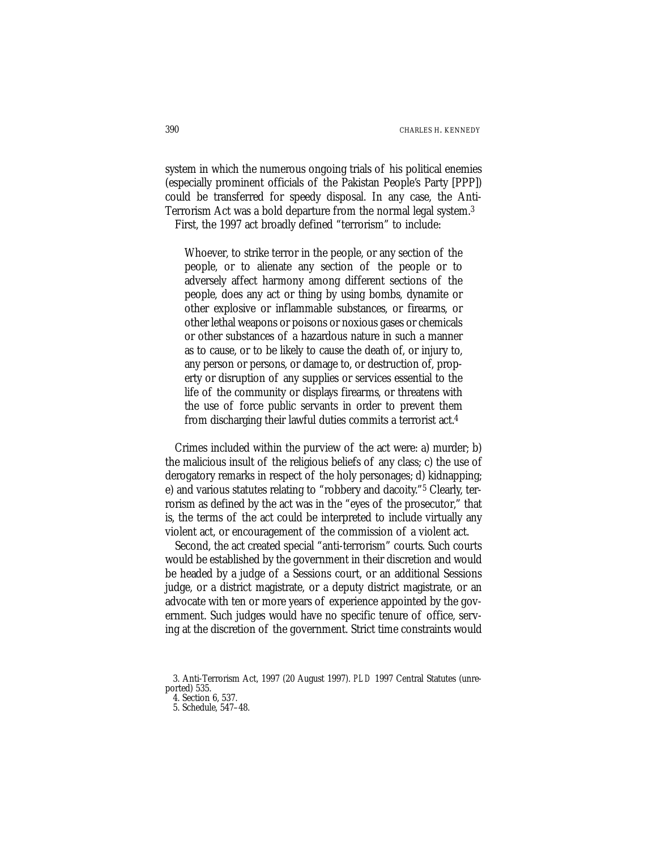system in which the numerous ongoing trials of his political enemies (especially prominent officials of the Pakistan People's Party [PPP]) could be transferred for speedy disposal. In any case, the Anti-Terrorism Act was a bold departure from the normal legal system.3 First, the 1997 act broadly defined "terrorism" to include:

Whoever, to strike terror in the people, or any section of the people, or to alienate any section of the people or to adversely affect harmony among different sections of the people, does any act or thing by using bombs, dynamite or other explosive or inflammable substances, or firearms, or other lethal weapons or poisons or noxious gases or chemicals or other substances of a hazardous nature in such a manner as to cause, or to be likely to cause the death of, or injury to, any person or persons, or damage to, or destruction of, property or disruption of any supplies or services essential to the life of the community or displays firearms, or threatens with the use of force public servants in order to prevent them from discharging their lawful duties commits a terrorist act.4

Crimes included within the purview of the act were: a) murder; b) the malicious insult of the religious beliefs of any class; c) the use of derogatory remarks in respect of the holy personages; d) kidnapping; e) and various statutes relating to "robbery and dacoity."5 Clearly, terrorism as defined by the act was in the "eyes of the prosecutor," that is, the terms of the act could be interpreted to include virtually any violent act, or encouragement of the commission of a violent act.

Second, the act created special "anti-terrorism" courts. Such courts would be established by the government in their discretion and would be headed by a judge of a Sessions court, or an additional Sessions judge, or a district magistrate, or a deputy district magistrate, or an advocate with ten or more years of experience appointed by the government. Such judges would have no specific tenure of office, serving at the discretion of the government. Strict time constraints would

<sup>3.</sup> Anti-Terrorism Act, 1997 (20 August 1997). *PLD* 1997 Central Statutes (unreported) 535.

<sup>4.</sup> Section 6, 537.

<sup>5.</sup> Schedule, 547–48.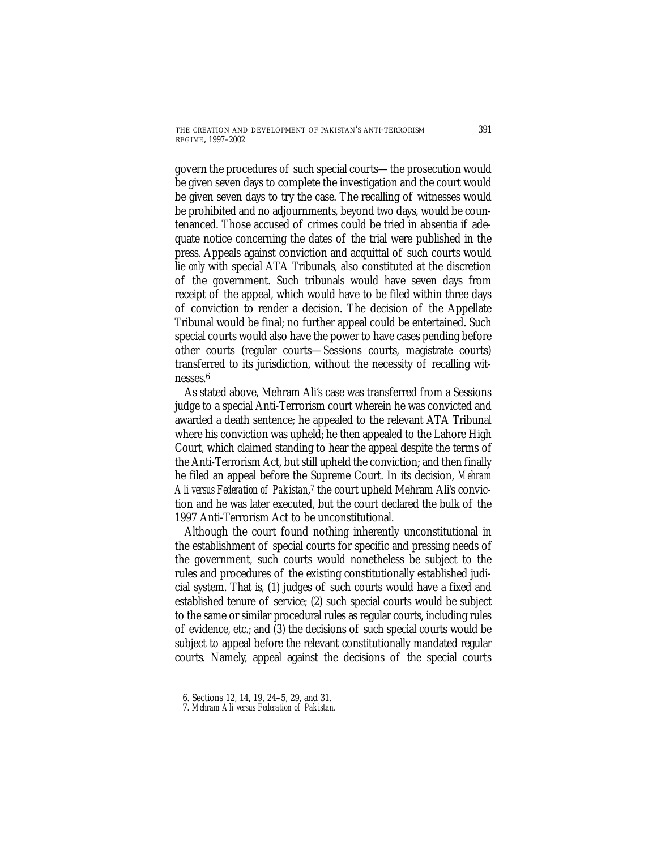govern the procedures of such special courts—the prosecution would be given seven days to complete the investigation and the court would be given seven days to try the case. The recalling of witnesses would be prohibited and no adjournments, beyond two days, would be countenanced. Those accused of crimes could be tried in absentia if adequate notice concerning the dates of the trial were published in the press. Appeals against conviction and acquittal of such courts would lie *only* with special ATA Tribunals, also constituted at the discretion of the government. Such tribunals would have seven days from receipt of the appeal, which would have to be filed within three days of conviction to render a decision. The decision of the Appellate Tribunal would be final; no further appeal could be entertained. Such special courts would also have the power to have cases pending before other courts (regular courts—Sessions courts, magistrate courts) transferred to its jurisdiction, without the necessity of recalling witnesses.6

As stated above, Mehram Ali's case was transferred from a Sessions judge to a special Anti-Terrorism court wherein he was convicted and awarded a death sentence; he appealed to the relevant ATA Tribunal where his conviction was upheld; he then appealed to the Lahore High Court, which claimed standing to hear the appeal despite the terms of the Anti-Terrorism Act, but still upheld the conviction; and then finally he filed an appeal before the Supreme Court. In its decision, *Mehram Ali versus Federation of Pakistan*, 7 the court upheld Mehram Ali's conviction and he was later executed, but the court declared the bulk of the 1997 Anti-Terrorism Act to be unconstitutional.

Although the court found nothing inherently unconstitutional in the establishment of special courts for specific and pressing needs of the government, such courts would nonetheless be subject to the rules and procedures of the existing constitutionally established judicial system. That is, (1) judges of such courts would have a fixed and established tenure of service; (2) such special courts would be subject to the same or similar procedural rules as regular courts, including rules of evidence, etc.; and (3) the decisions of such special courts would be subject to appeal before the relevant constitutionally mandated regular courts. Namely, appeal against the decisions of the special courts

<sup>6.</sup> Sections 12, 14, 19, 24–5, 29, and 31.

<sup>7.</sup> *Mehram Ali versus Federation of Pakistan*.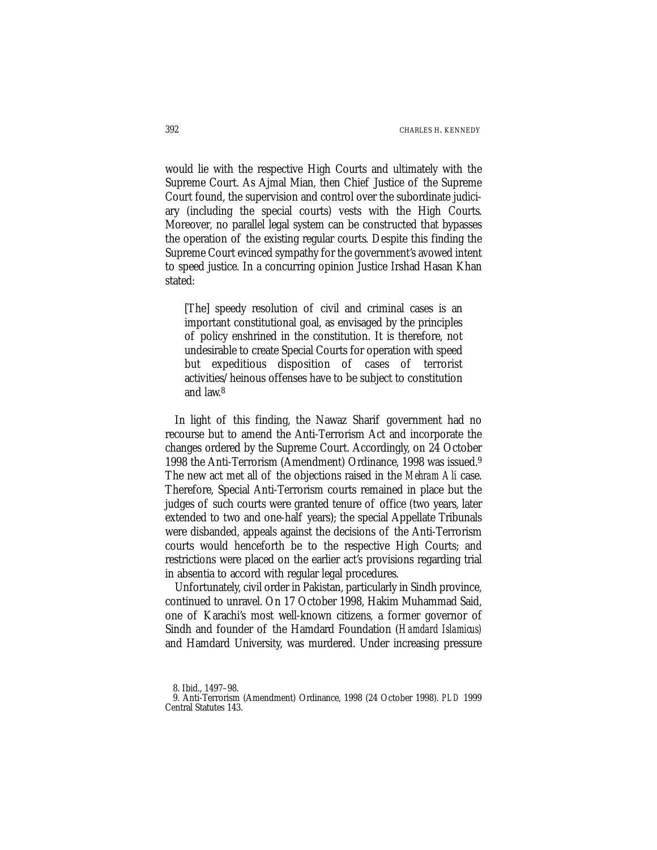would lie with the respective High Courts and ultimately with the Supreme Court. As Ajmal Mian, then Chief Justice of the Supreme Court found, the supervision and control over the subordinate judiciary (including the special courts) vests with the High Courts. Moreover, no parallel legal system can be constructed that bypasses the operation of the existing regular courts. Despite this finding the Supreme Court evinced sympathy for the government's avowed intent to speed justice. In a concurring opinion Justice Irshad Hasan Khan stated:

[The] speedy resolution of civil and criminal cases is an important constitutional goal, as envisaged by the principles of policy enshrined in the constitution. It is therefore, not undesirable to create Special Courts for operation with speed but expeditious disposition of cases of terrorist activities/heinous offenses have to be subject to constitution and law.8

In light of this finding, the Nawaz Sharif government had no recourse but to amend the Anti-Terrorism Act and incorporate the changes ordered by the Supreme Court. Accordingly, on 24 October 1998 the Anti-Terrorism (Amendment) Ordinance, 1998 was issued.9 The new act met all of the objections raised in the *Mehram Ali* case. Therefore, Special Anti-Terrorism courts remained in place but the judges of such courts were granted tenure of office (two years, later extended to two and one-half years); the special Appellate Tribunals were disbanded, appeals against the decisions of the Anti-Terrorism courts would henceforth be to the respective High Courts; and restrictions were placed on the earlier act's provisions regarding trial in absentia to accord with regular legal procedures.

Unfortunately, civil order in Pakistan, particularly in Sindh province, continued to unravel. On 17 October 1998, Hakim Muhammad Said, one of Karachi's most well-known citizens, a former governor of Sindh and founder of the Hamdard Foundation (*Hamdard Islamicus)* and Hamdard University, was murdered. Under increasing pressure

<sup>8.</sup> Ibid., 1497–98.

<sup>9.</sup> Anti-Terrorism (Amendment) Ordinance, 1998 (24 October 1998). *PLD* 1999 Central Statutes 143.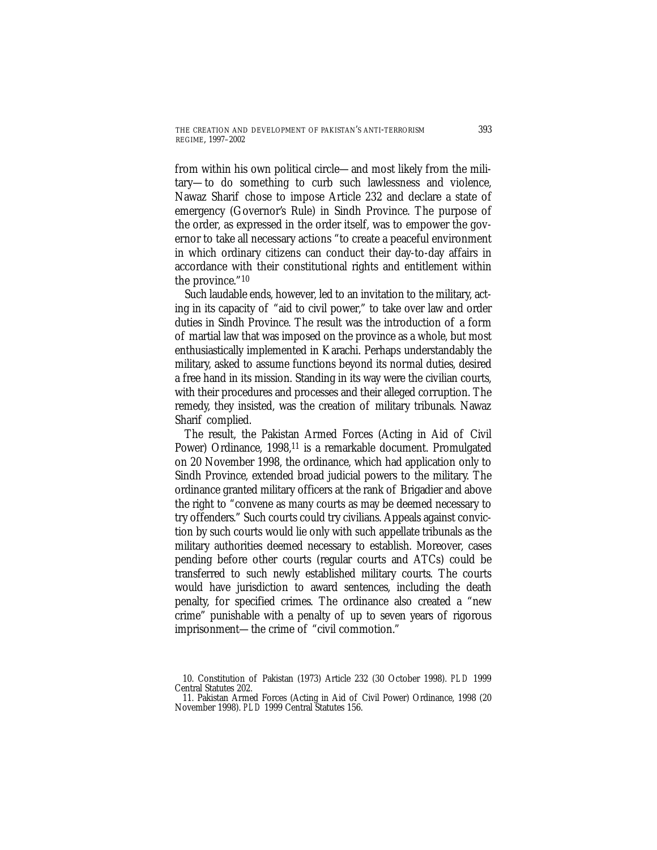from within his own political circle—and most likely from the military—to do something to curb such lawlessness and violence, Nawaz Sharif chose to impose Article 232 and declare a state of emergency (Governor's Rule) in Sindh Province. The purpose of the order, as expressed in the order itself, was to empower the governor to take all necessary actions "to create a peaceful environment in which ordinary citizens can conduct their day-to-day affairs in accordance with their constitutional rights and entitlement within the province."10

Such laudable ends, however, led to an invitation to the military, acting in its capacity of "aid to civil power," to take over law and order duties in Sindh Province. The result was the introduction of a form of martial law that was imposed on the province as a whole, but most enthusiastically implemented in Karachi. Perhaps understandably the military, asked to assume functions beyond its normal duties, desired a free hand in its mission. Standing in its way were the civilian courts, with their procedures and processes and their alleged corruption. The remedy, they insisted, was the creation of military tribunals. Nawaz Sharif complied.

The result, the Pakistan Armed Forces (Acting in Aid of Civil Power) Ordinance, 1998,<sup>11</sup> is a remarkable document. Promulgated on 20 November 1998, the ordinance, which had application only to Sindh Province, extended broad judicial powers to the military. The ordinance granted military officers at the rank of Brigadier and above the right to "convene as many courts as may be deemed necessary to try offenders." Such courts could try civilians. Appeals against conviction by such courts would lie only with such appellate tribunals as the military authorities deemed necessary to establish. Moreover, cases pending before other courts (regular courts and ATCs) could be transferred to such newly established military courts. The courts would have jurisdiction to award sentences, including the death penalty, for specified crimes. The ordinance also created a "new crime" punishable with a penalty of up to seven years of rigorous imprisonment—the crime of "civil commotion."

<sup>10.</sup> Constitution of Pakistan (1973) Article 232 (30 October 1998). *PLD* 1999 Central Statutes 202.

<sup>11.</sup> Pakistan Armed Forces (Acting in Aid of Civil Power) Ordinance, 1998 (20 November 1998). *PLD* 1999 Central Statutes 156.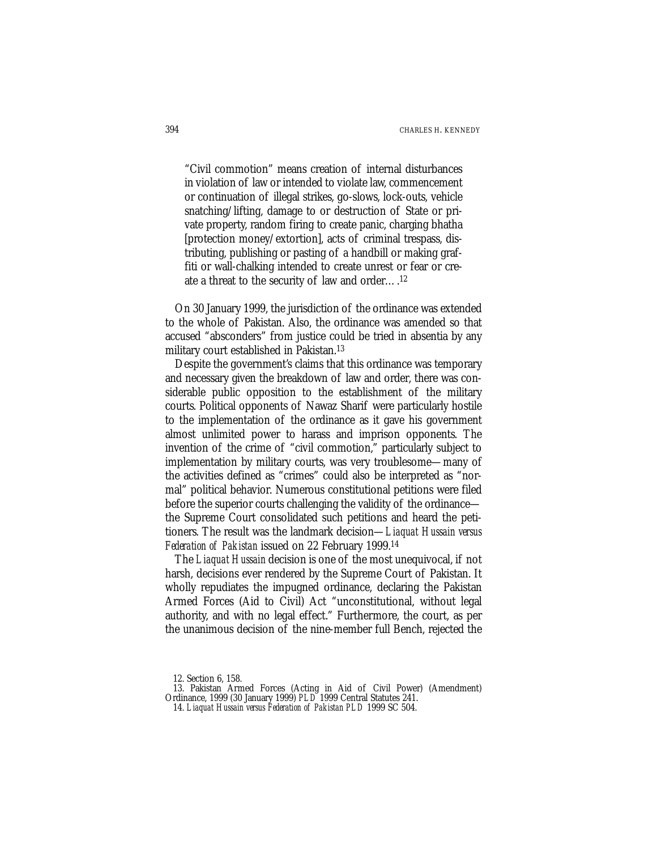"Civil commotion" means creation of internal disturbances in violation of law or intended to violate law, commencement or continuation of illegal strikes, go-slows, lock-outs, vehicle snatching/lifting, damage to or destruction of State or private property, random firing to create panic, charging bhatha [protection money/extortion], acts of criminal trespass, distributing, publishing or pasting of a handbill or making graffiti or wall-chalking intended to create unrest or fear or create a threat to the security of law and order….12

On 30 January 1999, the jurisdiction of the ordinance was extended to the whole of Pakistan. Also, the ordinance was amended so that accused "absconders" from justice could be tried in absentia by any military court established in Pakistan.13

Despite the government's claims that this ordinance was temporary and necessary given the breakdown of law and order, there was considerable public opposition to the establishment of the military courts. Political opponents of Nawaz Sharif were particularly hostile to the implementation of the ordinance as it gave his government almost unlimited power to harass and imprison opponents. The invention of the crime of "civil commotion," particularly subject to implementation by military courts, was very troublesome—many of the activities defined as "crimes" could also be interpreted as "normal" political behavior. Numerous constitutional petitions were filed before the superior courts challenging the validity of the ordinance the Supreme Court consolidated such petitions and heard the petitioners. The result was the landmark decision—*Liaquat Hussain versus Federation of Pakistan* issued on 22 February 1999.14

The *Liaquat Hussain* decision is one of the most unequivocal, if not harsh, decisions ever rendered by the Supreme Court of Pakistan. It wholly repudiates the impugned ordinance, declaring the Pakistan Armed Forces (Aid to Civil) Act "unconstitutional, without legal authority, and with no legal effect." Furthermore, the court, as per the unanimous decision of the nine-member full Bench, rejected the

<sup>12.</sup> Section 6, 158.

<sup>13.</sup> Pakistan Armed Forces (Acting in Aid of Civil Power) (Amendment) Ordinance, 1999 (30 January 1999) *PLD* 1999 Central Statutes 241.

<sup>14.</sup> *Liaquat Hussain versus Federation of Pakistan PLD* 1999 SC 504.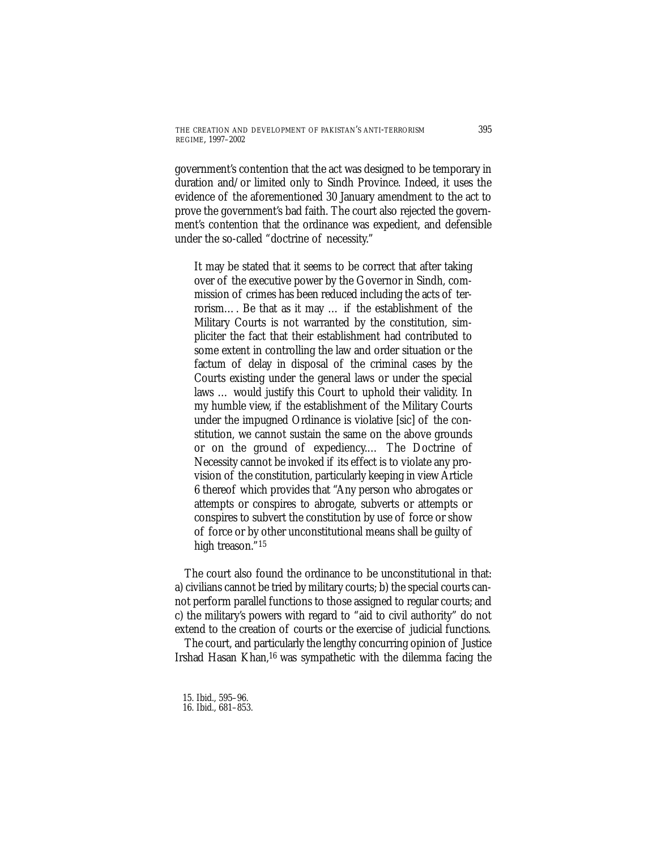government's contention that the act was designed to be temporary in duration and/or limited only to Sindh Province. Indeed, it uses the evidence of the aforementioned 30 January amendment to the act to prove the government's bad faith. The court also rejected the government's contention that the ordinance was expedient, and defensible under the so-called "doctrine of necessity."

It may be stated that it seems to be correct that after taking over of the executive power by the Governor in Sindh, commission of crimes has been reduced including the acts of terrorism…. Be that as it may … if the establishment of the Military Courts is not warranted by the constitution, simpliciter the fact that their establishment had contributed to some extent in controlling the law and order situation or the factum of delay in disposal of the criminal cases by the Courts existing under the general laws or under the special laws … would justify this Court to uphold their validity. In my humble view, if the establishment of the Military Courts under the impugned Ordinance is violative [sic] of the constitution, we cannot sustain the same on the above grounds or on the ground of expediency.… The Doctrine of Necessity cannot be invoked if its effect is to violate any provision of the constitution, particularly keeping in view Article 6 thereof which provides that "Any person who abrogates or attempts or conspires to abrogate, subverts or attempts or conspires to subvert the constitution by use of force or show of force or by other unconstitutional means shall be guilty of high treason."15

The court also found the ordinance to be unconstitutional in that: a) civilians cannot be tried by military courts; b) the special courts cannot perform parallel functions to those assigned to regular courts; and c) the military's powers with regard to "aid to civil authority" do not extend to the creation of courts or the exercise of judicial functions.

The court, and particularly the lengthy concurring opinion of Justice Irshad Hasan Khan,16 was sympathetic with the dilemma facing the

15. Ibid., 595–96. 16. Ibid., 681–853.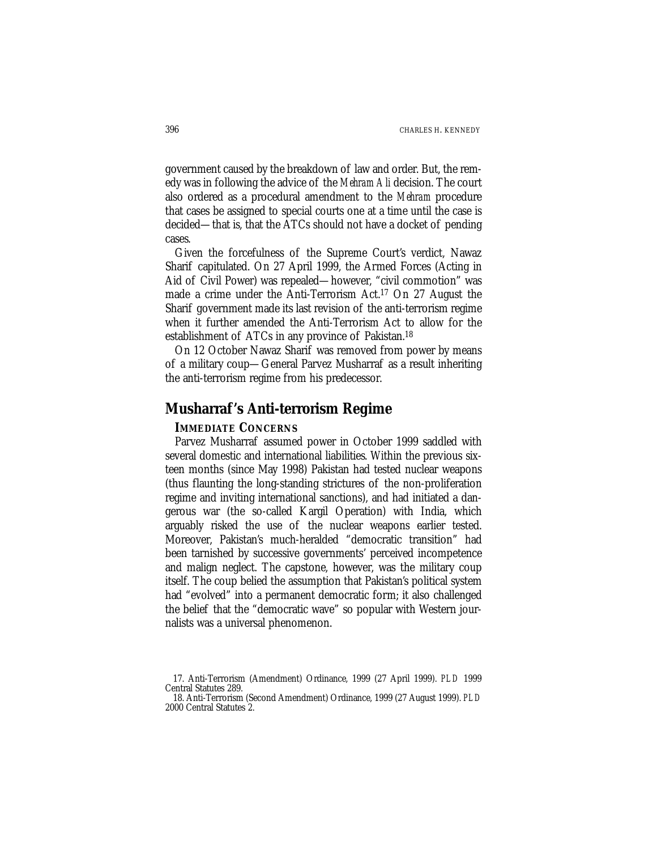government caused by the breakdown of law and order. But, the remedy was in following the advice of the *Mehram Ali* decision. The court also ordered as a procedural amendment to the *Mehram* procedure that cases be assigned to special courts one at a time until the case is decided—that is, that the ATCs should not have a docket of pending cases.

Given the forcefulness of the Supreme Court's verdict, Nawaz Sharif capitulated. On 27 April 1999, the Armed Forces (Acting in Aid of Civil Power) was repealed—however, "civil commotion" was made a crime under the Anti-Terrorism Act.17 On 27 August the Sharif government made its last revision of the anti-terrorism regime when it further amended the Anti-Terrorism Act to allow for the establishment of ATCs in any province of Pakistan.18

On 12 October Nawaz Sharif was removed from power by means of a military coup—General Parvez Musharraf as a result inheriting the anti-terrorism regime from his predecessor.

# **Musharraf 's Anti-terrorism Regime**

### **IMMEDIATE CONCERNS**

Parvez Musharraf assumed power in October 1999 saddled with several domestic and international liabilities. Within the previous sixteen months (since May 1998) Pakistan had tested nuclear weapons (thus flaunting the long-standing strictures of the non-proliferation regime and inviting international sanctions), and had initiated a dangerous war (the so-called Kargil Operation) with India, which arguably risked the use of the nuclear weapons earlier tested. Moreover, Pakistan's much-heralded "democratic transition" had been tarnished by successive governments' perceived incompetence and malign neglect. The capstone, however, was the military coup itself. The coup belied the assumption that Pakistan's political system had "evolved" into a permanent democratic form; it also challenged the belief that the "democratic wave" so popular with Western journalists was a universal phenomenon.

<sup>17.</sup> Anti-Terrorism (Amendment) Ordinance, 1999 (27 April 1999). *PLD* 1999 Central Statutes 289.

<sup>18.</sup> Anti-Terrorism (Second Amendment) Ordinance, 1999 (27 August 1999). *PLD* 2000 Central Statutes 2.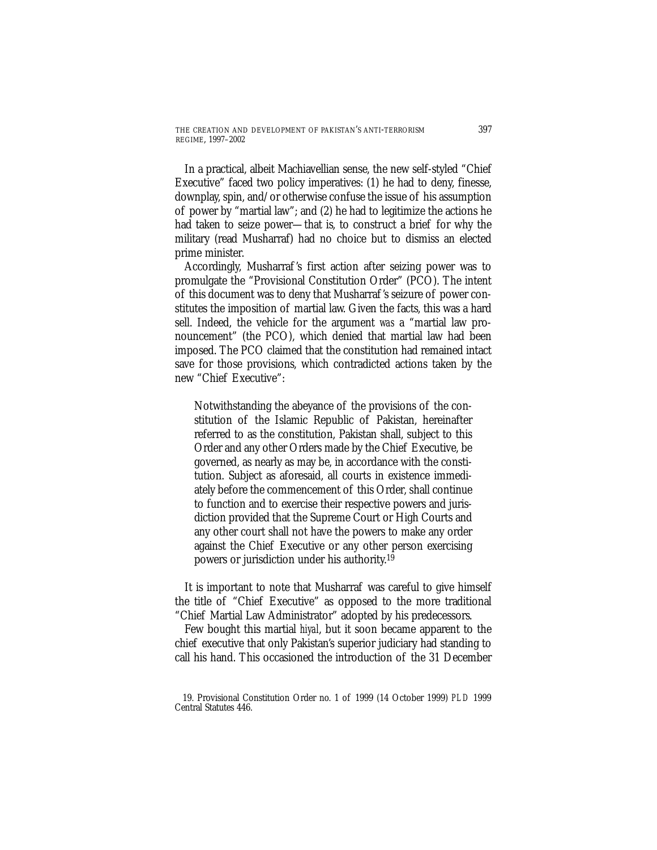In a practical, albeit Machiavellian sense, the new self-styled "Chief Executive" faced two policy imperatives: (1) he had to deny, finesse, downplay, spin, and/or otherwise confuse the issue of his assumption of power by "martial law"; and (2) he had to legitimize the actions he had taken to seize power—that is, to construct a brief for why the military (read Musharraf) had no choice but to dismiss an elected prime minister.

Accordingly, Musharraf 's first action after seizing power was to promulgate the "Provisional Constitution Order" (PCO). The intent of this document was to deny that Musharraf 's seizure of power constitutes the imposition of martial law. Given the facts, this was a hard sell. Indeed, the vehicle for the argument *was* a "martial law pronouncement" (the PCO), which denied that martial law had been imposed. The PCO claimed that the constitution had remained intact save for those provisions, which contradicted actions taken by the new "Chief Executive":

Notwithstanding the abeyance of the provisions of the constitution of the Islamic Republic of Pakistan, hereinafter referred to as the constitution, Pakistan shall, subject to this Order and any other Orders made by the Chief Executive, be governed, as nearly as may be, in accordance with the constitution. Subject as aforesaid, all courts in existence immediately before the commencement of this Order, shall continue to function and to exercise their respective powers and jurisdiction provided that the Supreme Court or High Courts and any other court shall not have the powers to make any order against the Chief Executive or any other person exercising powers or jurisdiction under his authority.19

It is important to note that Musharraf was careful to give himself the title of "Chief Executive" as opposed to the more traditional "Chief Martial Law Administrator" adopted by his predecessors.

Few bought this martial *hiyal*, but it soon became apparent to the chief executive that only Pakistan's superior judiciary had standing to call his hand. This occasioned the introduction of the 31 December

<sup>19.</sup> Provisional Constitution Order no. 1 of 1999 (14 October 1999) *PLD* 1999 Central Statutes 446.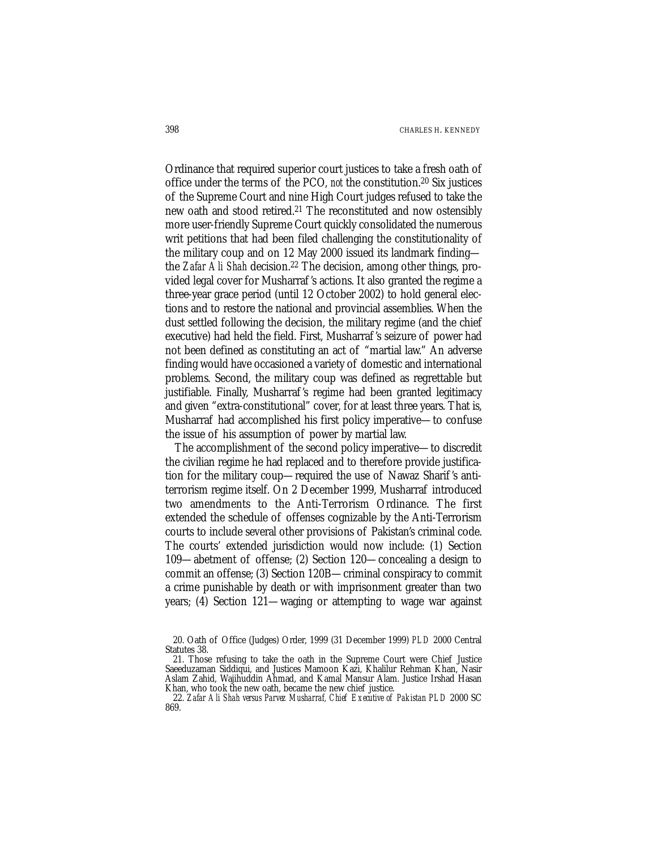Ordinance that required superior court justices to take a fresh oath of office under the terms of the PCO, *not* the constitution.20 Six justices of the Supreme Court and nine High Court judges refused to take the new oath and stood retired.21 The reconstituted and now ostensibly more user-friendly Supreme Court quickly consolidated the numerous writ petitions that had been filed challenging the constitutionality of the military coup and on 12 May 2000 issued its landmark finding the *Zafar Ali Shah* decision.<sup>22</sup> The decision, among other things, provided legal cover for Musharraf 's actions. It also granted the regime a three-year grace period (until 12 October 2002) to hold general elections and to restore the national and provincial assemblies. When the dust settled following the decision, the military regime (and the chief executive) had held the field. First, Musharraf 's seizure of power had not been defined as constituting an act of "martial law." An adverse finding would have occasioned a variety of domestic and international problems. Second, the military coup was defined as regrettable but justifiable. Finally, Musharraf 's regime had been granted legitimacy and given "extra-constitutional" cover, for at least three years. That is, Musharraf had accomplished his first policy imperative—to confuse the issue of his assumption of power by martial law.

The accomplishment of the second policy imperative—to discredit the civilian regime he had replaced and to therefore provide justification for the military coup—required the use of Nawaz Sharif 's antiterrorism regime itself. On 2 December 1999, Musharraf introduced two amendments to the Anti-Terrorism Ordinance. The first extended the schedule of offenses cognizable by the Anti-Terrorism courts to include several other provisions of Pakistan's criminal code. The courts' extended jurisdiction would now include: (1) Section 109—abetment of offense; (2) Section 120—concealing a design to commit an offense; (3) Section 120B—criminal conspiracy to commit a crime punishable by death or with imprisonment greater than two years; (4) Section 121—waging or attempting to wage war against

<sup>20.</sup> Oath of Office (Judges) Order, 1999 (31 December 1999) *PLD* 2000 Central Statutes 38.

<sup>21.</sup> Those refusing to take the oath in the Supreme Court were Chief Justice Saeeduzaman Siddiqui, and Justices Mamoon Kazi, Khalilur Rehman Khan, Nasir Aslam Zahid, Wajihuddin Ahmad, and Kamal Mansur Alam. Justice Irshad Hasan Khan, who took the new oath, became the new chief justice.

<sup>22.</sup> *Zafar Ali Shah versus Parvez Musharraf, Chief Executive of Pakistan PLD* 2000 SC 869.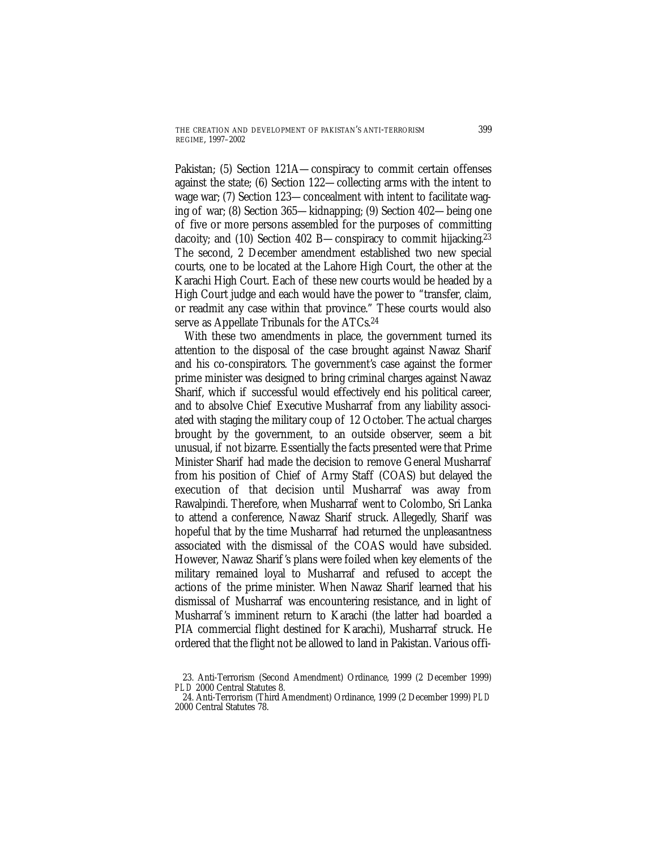Pakistan; (5) Section 121A—conspiracy to commit certain offenses against the state; (6) Section 122—collecting arms with the intent to wage war; (7) Section 123—concealment with intent to facilitate waging of war; (8) Section 365—kidnapping; (9) Section 402—being one of five or more persons assembled for the purposes of committing dacoity; and (10) Section 402 B—conspiracy to commit hijacking.23 The second, 2 December amendment established two new special courts, one to be located at the Lahore High Court, the other at the Karachi High Court. Each of these new courts would be headed by a High Court judge and each would have the power to "transfer, claim, or readmit any case within that province." These courts would also serve as Appellate Tribunals for the ATCs.24

With these two amendments in place, the government turned its attention to the disposal of the case brought against Nawaz Sharif and his co-conspirators. The government's case against the former prime minister was designed to bring criminal charges against Nawaz Sharif, which if successful would effectively end his political career, and to absolve Chief Executive Musharraf from any liability associated with staging the military coup of 12 October. The actual charges brought by the government, to an outside observer, seem a bit unusual, if not bizarre. Essentially the facts presented were that Prime Minister Sharif had made the decision to remove General Musharraf from his position of Chief of Army Staff (COAS) but delayed the execution of that decision until Musharraf was away from Rawalpindi. Therefore, when Musharraf went to Colombo, Sri Lanka to attend a conference, Nawaz Sharif struck. Allegedly, Sharif was hopeful that by the time Musharraf had returned the unpleasantness associated with the dismissal of the COAS would have subsided. However, Nawaz Sharif 's plans were foiled when key elements of the military remained loyal to Musharraf and refused to accept the actions of the prime minister. When Nawaz Sharif learned that his dismissal of Musharraf was encountering resistance, and in light of Musharraf 's imminent return to Karachi (the latter had boarded a PIA commercial flight destined for Karachi), Musharraf struck. He ordered that the flight not be allowed to land in Pakistan. Various offi-

<sup>23.</sup> Anti-Terrorism (Second Amendment) Ordinance, 1999 (2 December 1999) *PLD* 2000 Central Statutes 8.

<sup>24.</sup> Anti-Terrorism (Third Amendment) Ordinance, 1999 (2 December 1999) *PLD* 2000 Central Statutes 78.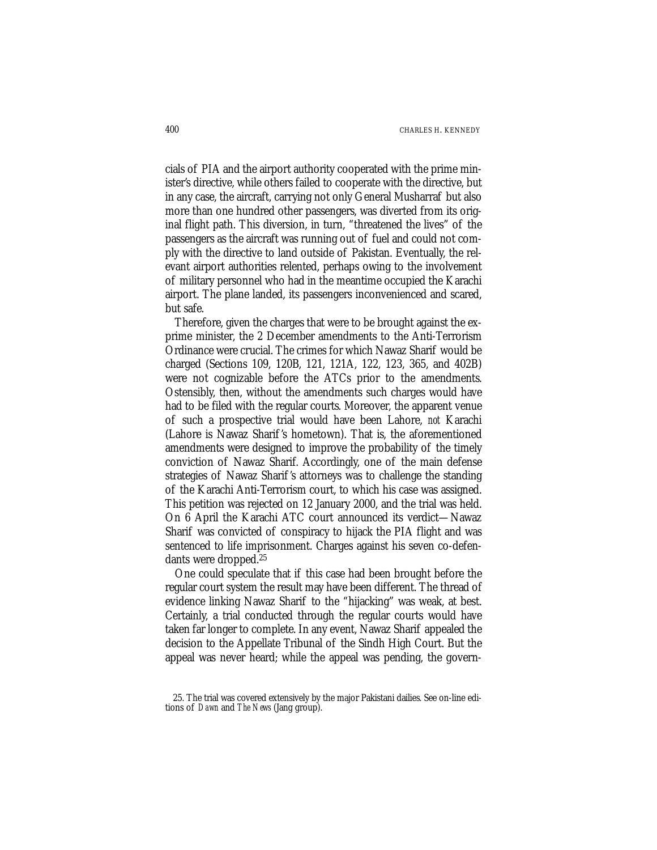cials of PIA and the airport authority cooperated with the prime minister's directive, while others failed to cooperate with the directive, but in any case, the aircraft, carrying not only General Musharraf but also more than one hundred other passengers, was diverted from its original flight path. This diversion, in turn, "threatened the lives" of the passengers as the aircraft was running out of fuel and could not comply with the directive to land outside of Pakistan. Eventually, the relevant airport authorities relented, perhaps owing to the involvement of military personnel who had in the meantime occupied the Karachi airport. The plane landed, its passengers inconvenienced and scared, but safe.

Therefore, given the charges that were to be brought against the exprime minister, the 2 December amendments to the Anti-Terrorism Ordinance were crucial. The crimes for which Nawaz Sharif would be charged (Sections 109, 120B, 121, 121A, 122, 123, 365, and 402B) were not cognizable before the ATCs prior to the amendments. Ostensibly, then, without the amendments such charges would have had to be filed with the regular courts. Moreover, the apparent venue of such a prospective trial would have been Lahore, *not* Karachi (Lahore is Nawaz Sharif 's hometown). That is, the aforementioned amendments were designed to improve the probability of the timely conviction of Nawaz Sharif. Accordingly, one of the main defense strategies of Nawaz Sharif 's attorneys was to challenge the standing of the Karachi Anti-Terrorism court, to which his case was assigned. This petition was rejected on 12 January 2000, and the trial was held. On 6 April the Karachi ATC court announced its verdict—Nawaz Sharif was convicted of conspiracy to hijack the PIA flight and was sentenced to life imprisonment. Charges against his seven co-defendants were dropped.25

One could speculate that if this case had been brought before the regular court system the result may have been different. The thread of evidence linking Nawaz Sharif to the "hijacking" was weak, at best. Certainly, a trial conducted through the regular courts would have taken far longer to complete. In any event, Nawaz Sharif appealed the decision to the Appellate Tribunal of the Sindh High Court. But the appeal was never heard; while the appeal was pending, the govern-

<sup>25.</sup> The trial was covered extensively by the major Pakistani dailies. See on-line editions of *Dawn* and *The News* (Jang group).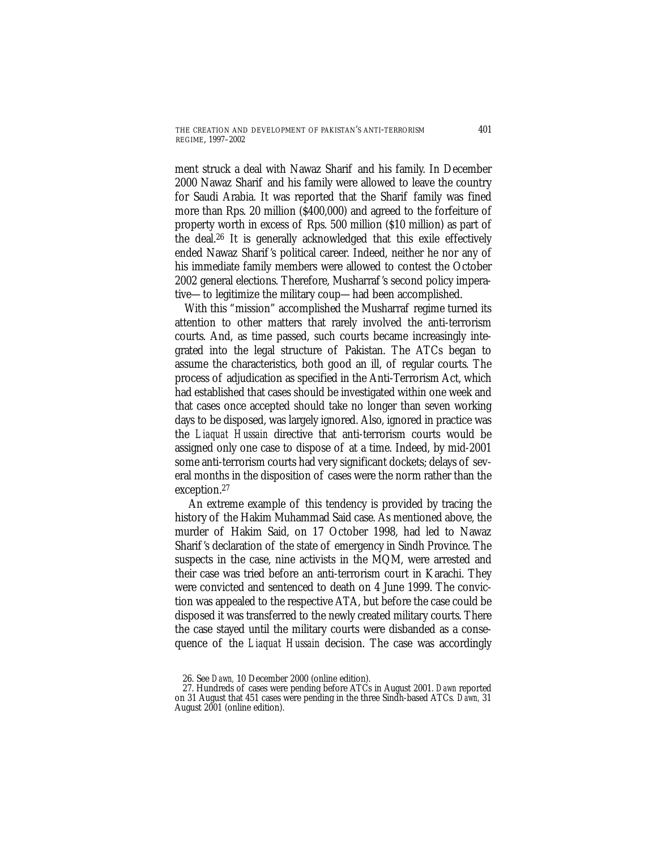ment struck a deal with Nawaz Sharif and his family. In December 2000 Nawaz Sharif and his family were allowed to leave the country for Saudi Arabia. It was reported that the Sharif family was fined more than Rps. 20 million (\$400,000) and agreed to the forfeiture of property worth in excess of Rps. 500 million (\$10 million) as part of the deal.26 It is generally acknowledged that this exile effectively ended Nawaz Sharif 's political career. Indeed, neither he nor any of his immediate family members were allowed to contest the October 2002 general elections. Therefore, Musharraf 's second policy imperative—to legitimize the military coup—had been accomplished.

With this "mission" accomplished the Musharraf regime turned its attention to other matters that rarely involved the anti-terrorism courts. And, as time passed, such courts became increasingly integrated into the legal structure of Pakistan. The ATCs began to assume the characteristics, both good an ill, of regular courts. The process of adjudication as specified in the Anti-Terrorism Act, which had established that cases should be investigated within one week and that cases once accepted should take no longer than seven working days to be disposed, was largely ignored. Also, ignored in practice was the *Liaquat Hussain* directive that anti-terrorism courts would be assigned only one case to dispose of at a time. Indeed, by mid-2001 some anti-terrorism courts had very significant dockets; delays of several months in the disposition of cases were the norm rather than the exception.27

An extreme example of this tendency is provided by tracing the history of the Hakim Muhammad Said case. As mentioned above, the murder of Hakim Said, on 17 October 1998, had led to Nawaz Sharif 's declaration of the state of emergency in Sindh Province. The suspects in the case, nine activists in the MQM, were arrested and their case was tried before an anti-terrorism court in Karachi. They were convicted and sentenced to death on 4 June 1999. The conviction was appealed to the respective ATA, but before the case could be disposed it was transferred to the newly created military courts. There the case stayed until the military courts were disbanded as a consequence of the *Liaquat Hussain* decision. The case was accordingly

<sup>26.</sup> See *Dawn,* 10 December 2000 (online edition).

<sup>27.</sup> Hundreds of cases were pending before ATCs in August 2001. *Dawn* reported on 31 August that 451 cases were pending in the three Sindh-based ATCs*. Dawn,* 31 August 2001 (online edition).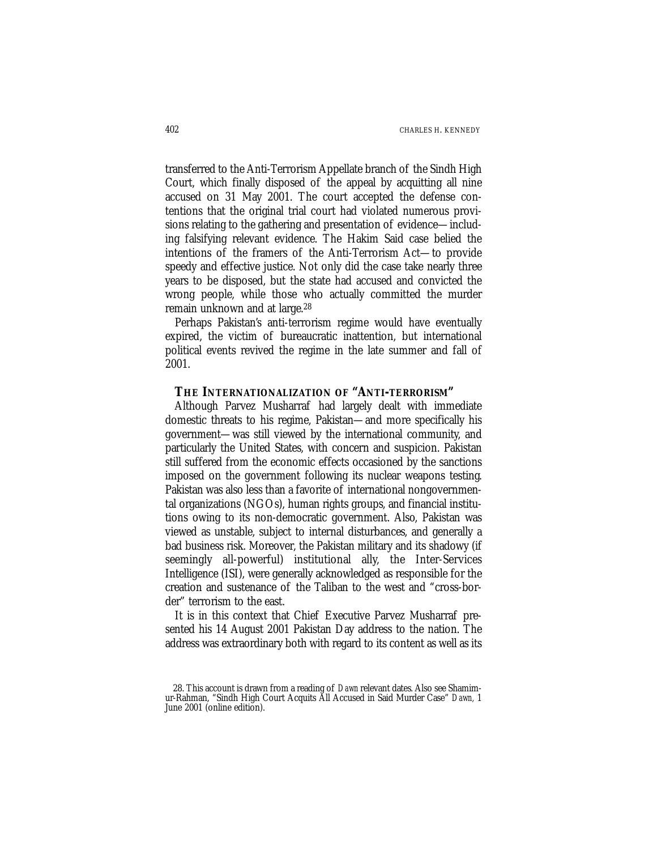transferred to the Anti-Terrorism Appellate branch of the Sindh High Court, which finally disposed of the appeal by acquitting all nine accused on 31 May 2001. The court accepted the defense contentions that the original trial court had violated numerous provisions relating to the gathering and presentation of evidence—including falsifying relevant evidence. The Hakim Said case belied the intentions of the framers of the Anti-Terrorism Act—to provide speedy and effective justice. Not only did the case take nearly three years to be disposed, but the state had accused and convicted the wrong people, while those who actually committed the murder remain unknown and at large.28

Perhaps Pakistan's anti-terrorism regime would have eventually expired, the victim of bureaucratic inattention, but international political events revived the regime in the late summer and fall of 2001.

### **THE INTERNATIONALIZATION OF "ANTI-TERRORISM"**

Although Parvez Musharraf had largely dealt with immediate domestic threats to his regime, Pakistan—and more specifically his government—was still viewed by the international community, and particularly the United States, with concern and suspicion. Pakistan still suffered from the economic effects occasioned by the sanctions imposed on the government following its nuclear weapons testing. Pakistan was also less than a favorite of international nongovernmental organizations (NGOs), human rights groups, and financial institutions owing to its non-democratic government. Also, Pakistan was viewed as unstable, subject to internal disturbances, and generally a bad business risk. Moreover, the Pakistan military and its shadowy (if seemingly all-powerful) institutional ally, the Inter-Services Intelligence (ISI), were generally acknowledged as responsible for the creation and sustenance of the Taliban to the west and "cross-border" terrorism to the east.

It is in this context that Chief Executive Parvez Musharraf presented his 14 August 2001 Pakistan Day address to the nation. The address was extraordinary both with regard to its content as well as its

<sup>28.</sup> This account is drawn from a reading of *Dawn* relevant dates. Also see Shamimur-Rahman, "Sindh High Court Acquits All Accused in Said Murder Case" *Dawn,* 1 June 2001 (online edition).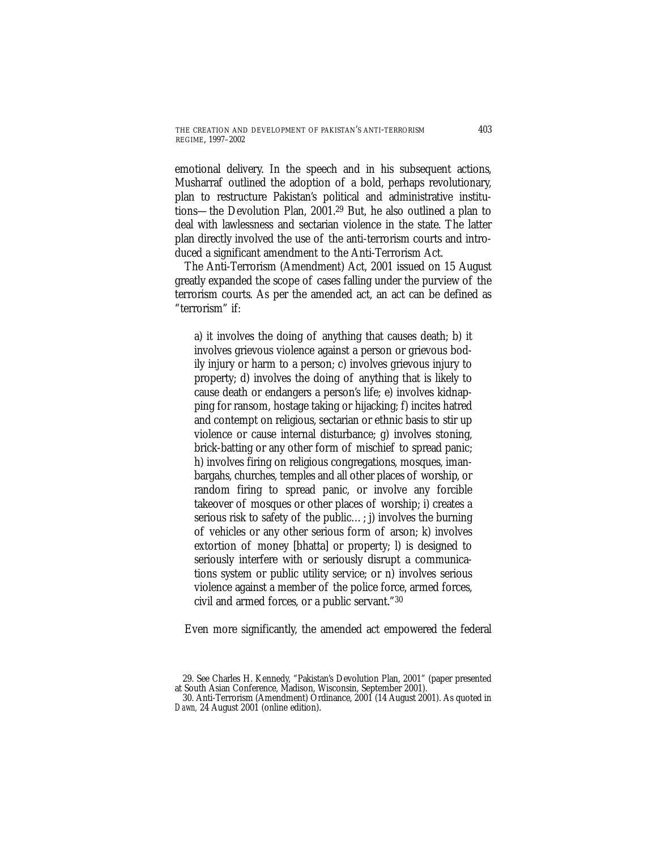emotional delivery. In the speech and in his subsequent actions, Musharraf outlined the adoption of a bold, perhaps revolutionary, plan to restructure Pakistan's political and administrative institutions—the Devolution Plan, 2001.29 But, he also outlined a plan to deal with lawlessness and sectarian violence in the state. The latter plan directly involved the use of the anti-terrorism courts and introduced a significant amendment to the Anti-Terrorism Act.

The Anti-Terrorism (Amendment) Act, 2001 issued on 15 August greatly expanded the scope of cases falling under the purview of the terrorism courts. As per the amended act, an act can be defined as "terrorism" if:

a) it involves the doing of anything that causes death; b) it involves grievous violence against a person or grievous bodily injury or harm to a person; c) involves grievous injury to property; d) involves the doing of anything that is likely to cause death or endangers a person's life; e) involves kidnapping for ransom, hostage taking or hijacking; f) incites hatred and contempt on religious, sectarian or ethnic basis to stir up violence or cause internal disturbance; g) involves stoning, brick-batting or any other form of mischief to spread panic; h) involves firing on religious congregations, mosques, imanbargahs, churches, temples and all other places of worship, or random firing to spread panic, or involve any forcible takeover of mosques or other places of worship; i) creates a serious risk to safety of the public…; j) involves the burning of vehicles or any other serious form of arson; k) involves extortion of money [bhatta] or property; l) is designed to seriously interfere with or seriously disrupt a communications system or public utility service; or n) involves serious violence against a member of the police force, armed forces, civil and armed forces, or a public servant."30

Even more significantly, the amended act empowered the federal

<sup>29.</sup> See Charles H. Kennedy, "Pakistan's Devolution Plan, 2001" (paper presented at South Asian Conference, Madison, Wisconsin, September 2001).

<sup>30.</sup> Anti-Terrorism (Amendment) Ordinance, 2001 (14 August 2001). As quoted in *Dawn,* 24 August 2001 (online edition).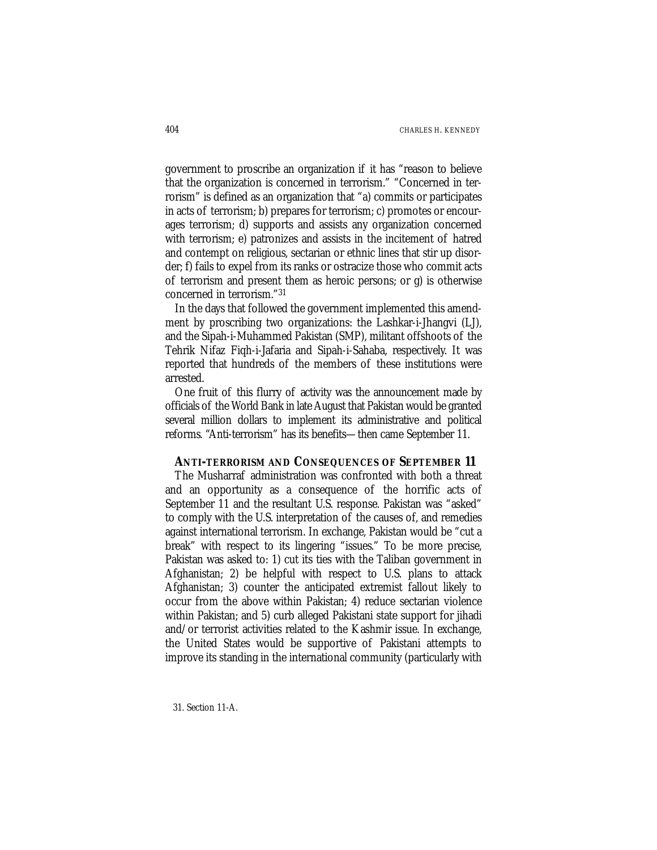government to proscribe an organization if it has "reason to believe that the organization is concerned in terrorism." "Concerned in terrorism" is defined as an organization that "a) commits or participates in acts of terrorism; b) prepares for terrorism; c) promotes or encourages terrorism; d) supports and assists any organization concerned with terrorism; e) patronizes and assists in the incitement of hatred and contempt on religious, sectarian or ethnic lines that stir up disorder; f) fails to expel from its ranks or ostracize those who commit acts of terrorism and present them as heroic persons; or g) is otherwise concerned in terrorism."31

In the days that followed the government implemented this amendment by proscribing two organizations: the Lashkar-i-Jhangvi (LJ), and the Sipah-i-Muhammed Pakistan (SMP), militant offshoots of the Tehrik Nifaz Fiqh-i-Jafaria and Sipah-i-Sahaba, respectively. It was reported that hundreds of the members of these institutions were arrested.

One fruit of this flurry of activity was the announcement made by officials of the World Bank in late August that Pakistan would be granted several million dollars to implement its administrative and political reforms. "Anti-terrorism" has its benefits—then came September 11.

### **ANTI-TERRORISM AND CONSEQUENCES OF SEPTEMBER 11**

The Musharraf administration was confronted with both a threat and an opportunity as a consequence of the horrific acts of September 11 and the resultant U.S. response. Pakistan was "asked" to comply with the U.S. interpretation of the causes of, and remedies against international terrorism. In exchange, Pakistan would be "cut a break" with respect to its lingering "issues." To be more precise, Pakistan was asked to: 1) cut its ties with the Taliban government in Afghanistan; 2) be helpful with respect to U.S. plans to attack Afghanistan; 3) counter the anticipated extremist fallout likely to occur from the above within Pakistan; 4) reduce sectarian violence within Pakistan; and 5) curb alleged Pakistani state support for jihadi and/or terrorist activities related to the Kashmir issue. In exchange, the United States would be supportive of Pakistani attempts to improve its standing in the international community (particularly with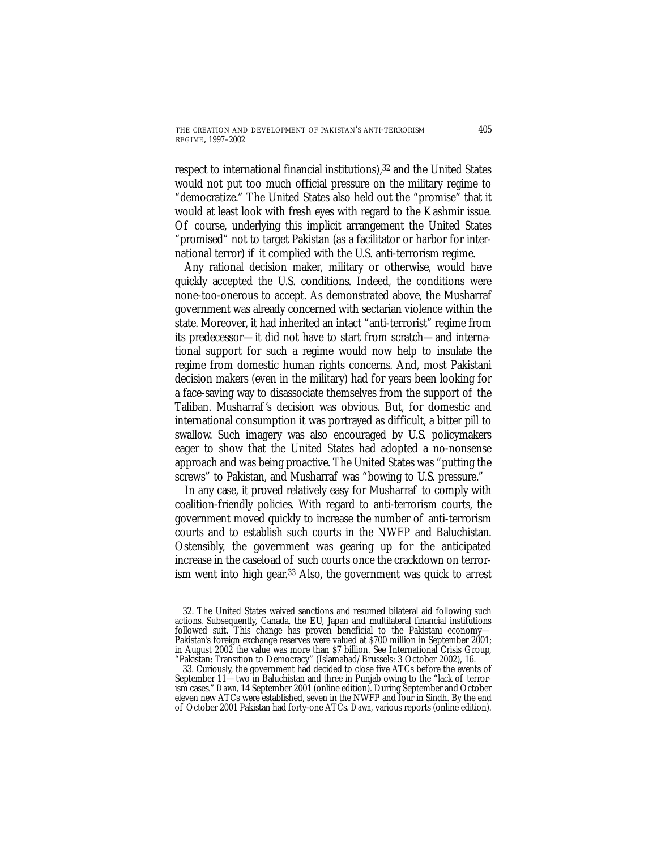respect to international financial institutions),<sup>32</sup> and the United States would not put too much official pressure on the military regime to "democratize." The United States also held out the "promise" that it would at least look with fresh eyes with regard to the Kashmir issue. Of course, underlying this implicit arrangement the United States "promised" not to target Pakistan (as a facilitator or harbor for international terror) if it complied with the U.S. anti-terrorism regime.

Any rational decision maker, military or otherwise, would have quickly accepted the U.S. conditions. Indeed, the conditions were none-too-onerous to accept. As demonstrated above, the Musharraf government was already concerned with sectarian violence within the state. Moreover, it had inherited an intact "anti-terrorist" regime from its predecessor—it did not have to start from scratch—and international support for such a regime would now help to insulate the regime from domestic human rights concerns. And, most Pakistani decision makers (even in the military) had for years been looking for a face-saving way to disassociate themselves from the support of the Taliban. Musharraf 's decision was obvious. But, for domestic and international consumption it was portrayed as difficult, a bitter pill to swallow. Such imagery was also encouraged by U.S. policymakers eager to show that the United States had adopted a no-nonsense approach and was being proactive. The United States was "putting the screws" to Pakistan, and Musharraf was "bowing to U.S. pressure."

In any case, it proved relatively easy for Musharraf to comply with coalition-friendly policies. With regard to anti-terrorism courts, the government moved quickly to increase the number of anti-terrorism courts and to establish such courts in the NWFP and Baluchistan. Ostensibly, the government was gearing up for the anticipated increase in the caseload of such courts once the crackdown on terrorism went into high gear.33 Also, the government was quick to arrest

33. Curiously, the government had decided to close five ATCs before the events of September 11—two in Baluchistan and three in Punjab owing to the "lack of terrorism cases." *Dawn,* 14 September 2001 (online edition). During September and October eleven new ATCs were established, seven in the NWFP and four in Sindh. By the end of October 2001 Pakistan had forty-one ATCs*. Dawn,* various reports (online edition).

<sup>32.</sup> The United States waived sanctions and resumed bilateral aid following such actions. Subsequently, Canada, the EU, Japan and multilateral financial institutions followed suit. This change has proven beneficial to the Pakistani economy— Pakistan's foreign exchange reserves were valued at \$700 million in September 2001; in August 2002 the value was more than \$7 billion. See International Crisis Group, "Pakistan: Transition to Democracy" (Islamabad/Brussels: 3 October 2002), 16.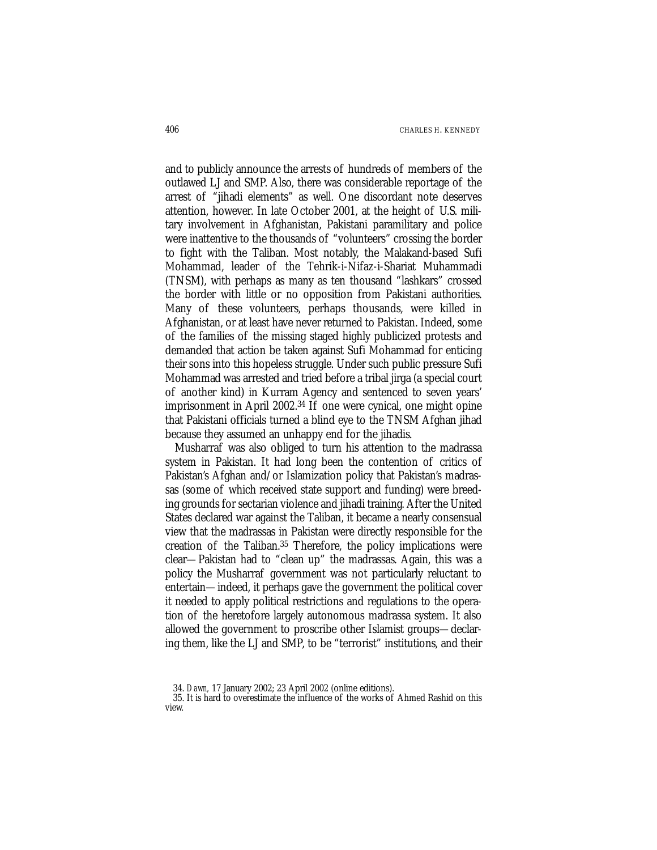and to publicly announce the arrests of hundreds of members of the outlawed LJ and SMP. Also, there was considerable reportage of the arrest of "jihadi elements" as well. One discordant note deserves attention, however. In late October 2001, at the height of U.S. military involvement in Afghanistan, Pakistani paramilitary and police were inattentive to the thousands of "volunteers" crossing the border to fight with the Taliban. Most notably, the Malakand-based Sufi Mohammad, leader of the Tehrik-i-Nifaz-i-Shariat Muhammadi (TNSM), with perhaps as many as ten thousand "lashkars" crossed the border with little or no opposition from Pakistani authorities. Many of these volunteers, perhaps thousands, were killed in Afghanistan, or at least have never returned to Pakistan. Indeed, some of the families of the missing staged highly publicized protests and demanded that action be taken against Sufi Mohammad for enticing their sons into this hopeless struggle. Under such public pressure Sufi Mohammad was arrested and tried before a tribal jirga (a special court of another kind) in Kurram Agency and sentenced to seven years' imprisonment in April 2002.34 If one were cynical, one might opine that Pakistani officials turned a blind eye to the TNSM Afghan jihad because they assumed an unhappy end for the jihadis.

Musharraf was also obliged to turn his attention to the madrassa system in Pakistan. It had long been the contention of critics of Pakistan's Afghan and/or Islamization policy that Pakistan's madrassas (some of which received state support and funding) were breeding grounds for sectarian violence and jihadi training. After the United States declared war against the Taliban, it became a nearly consensual view that the madrassas in Pakistan were directly responsible for the creation of the Taliban.35 Therefore, the policy implications were clear—Pakistan had to "clean up" the madrassas. Again, this was a policy the Musharraf government was not particularly reluctant to entertain—indeed, it perhaps gave the government the political cover it needed to apply political restrictions and regulations to the operation of the heretofore largely autonomous madrassa system. It also allowed the government to proscribe other Islamist groups—declaring them, like the LJ and SMP, to be "terrorist" institutions, and their

<sup>34.</sup> *Dawn,* 17 January 2002; 23 April 2002 (online editions).

<sup>35.</sup> It is hard to overestimate the influence of the works of Ahmed Rashid on this view.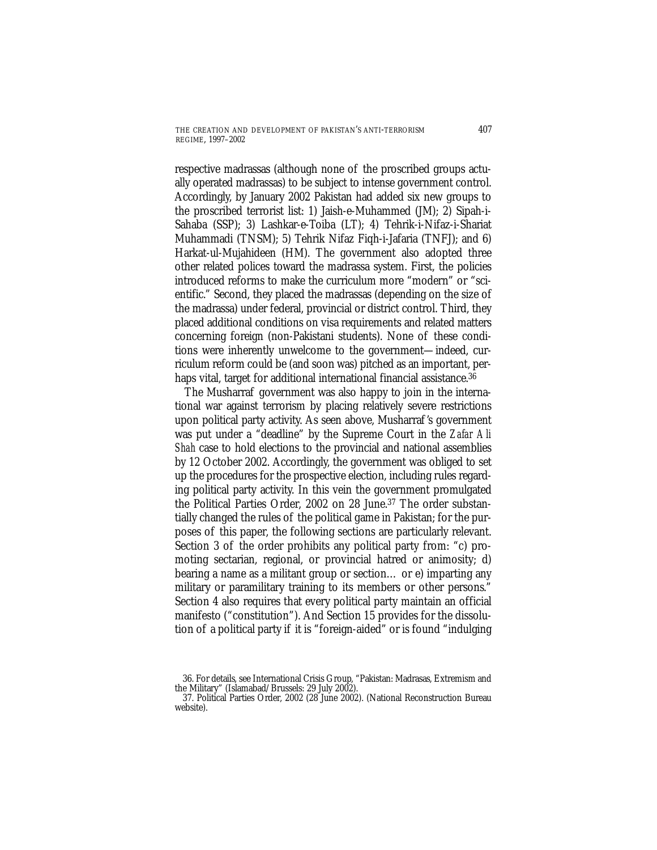respective madrassas (although none of the proscribed groups actually operated madrassas) to be subject to intense government control. Accordingly, by January 2002 Pakistan had added six new groups to the proscribed terrorist list: 1) Jaish-e-Muhammed (JM); 2) Sipah-i-Sahaba (SSP); 3) Lashkar-e-Toiba (LT); 4) Tehrik-i-Nifaz-i-Shariat Muhammadi (TNSM); 5) Tehrik Nifaz Fiqh-i-Jafaria (TNFJ); and 6) Harkat-ul-Mujahideen (HM). The government also adopted three other related polices toward the madrassa system. First, the policies introduced reforms to make the curriculum more "modern" or "scientific." Second, they placed the madrassas (depending on the size of the madrassa) under federal, provincial or district control. Third, they placed additional conditions on visa requirements and related matters concerning foreign (non-Pakistani students). None of these conditions were inherently unwelcome to the government—indeed, curriculum reform could be (and soon was) pitched as an important, perhaps vital, target for additional international financial assistance.<sup>36</sup>

The Musharraf government was also happy to join in the international war against terrorism by placing relatively severe restrictions upon political party activity. As seen above, Musharraf 's government was put under a "deadline" by the Supreme Court in the *Zafar Ali Shah* case to hold elections to the provincial and national assemblies by 12 October 2002. Accordingly, the government was obliged to set up the procedures for the prospective election, including rules regarding political party activity. In this vein the government promulgated the Political Parties Order, 2002 on 28 June.37 The order substantially changed the rules of the political game in Pakistan; for the purposes of this paper, the following sections are particularly relevant. Section 3 of the order prohibits any political party from: "c) promoting sectarian, regional, or provincial hatred or animosity; d) bearing a name as a militant group or section… or e) imparting any military or paramilitary training to its members or other persons." Section 4 also requires that every political party maintain an official manifesto ("constitution"). And Section 15 provides for the dissolution of a political party if it is "foreign-aided" or is found "indulging

<sup>36.</sup> For details, see International Crisis Group, "Pakistan: Madrasas, Extremism and the Military" (Islamabad/Brussels: 29 July 2002).

<sup>37.</sup> Political Parties Order, 2002 (28 June 2002). (National Reconstruction Bureau website).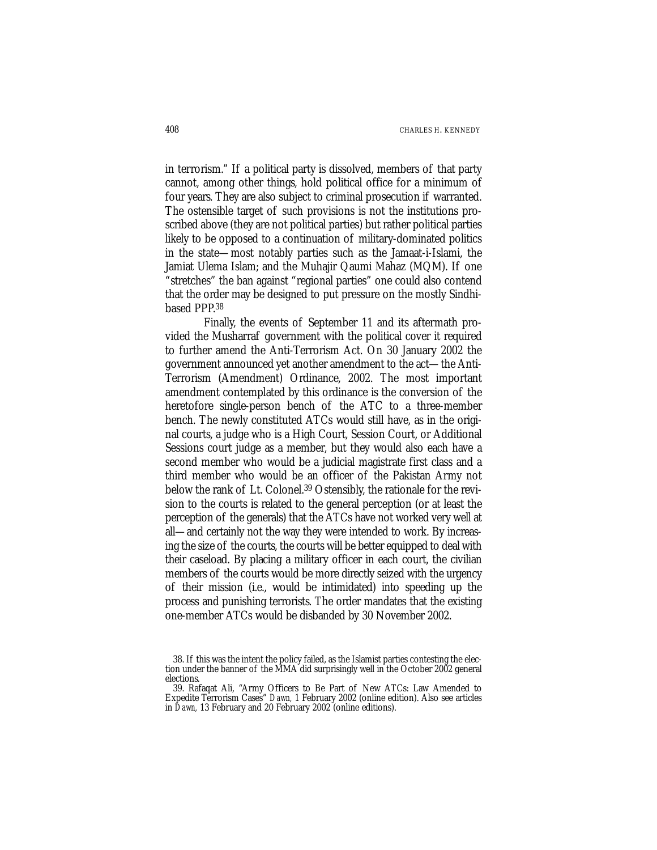in terrorism." If a political party is dissolved, members of that party cannot, among other things, hold political office for a minimum of four years. They are also subject to criminal prosecution if warranted. The ostensible target of such provisions is not the institutions proscribed above (they are not political parties) but rather political parties likely to be opposed to a continuation of military-dominated politics in the state—most notably parties such as the Jamaat-i-Islami, the Jamiat Ulema Islam; and the Muhajir Qaumi Mahaz (MQM). If one "stretches" the ban against "regional parties" one could also contend that the order may be designed to put pressure on the mostly Sindhibased PPP<sup>38</sup>

Finally, the events of September 11 and its aftermath provided the Musharraf government with the political cover it required to further amend the Anti-Terrorism Act. On 30 January 2002 the government announced yet another amendment to the act—the Anti-Terrorism (Amendment) Ordinance, 2002. The most important amendment contemplated by this ordinance is the conversion of the heretofore single-person bench of the ATC to a three-member bench. The newly constituted ATCs would still have, as in the original courts, a judge who is a High Court, Session Court, or Additional Sessions court judge as a member, but they would also each have a second member who would be a judicial magistrate first class and a third member who would be an officer of the Pakistan Army not below the rank of Lt. Colonel.39 Ostensibly, the rationale for the revision to the courts is related to the general perception (or at least the perception of the generals) that the ATCs have not worked very well at all—and certainly not the way they were intended to work. By increasing the size of the courts, the courts will be better equipped to deal with their caseload. By placing a military officer in each court, the civilian members of the courts would be more directly seized with the urgency of their mission (i.e., would be intimidated) into speeding up the process and punishing terrorists. The order mandates that the existing one-member ATCs would be disbanded by 30 November 2002.

<sup>38.</sup> If this was the intent the policy failed, as the Islamist parties contesting the election under the banner of the MMA did surprisingly well in the October 2002 general elections.

<sup>39.</sup> Rafaqat Ali, "Army Officers to Be Part of New ATCs: Law Amended to Expedite Terrorism Cases" *Dawn,* 1 February 2002 (online edition). Also see articles in *Dawn,* 13 February and 20 February 2002 (online editions).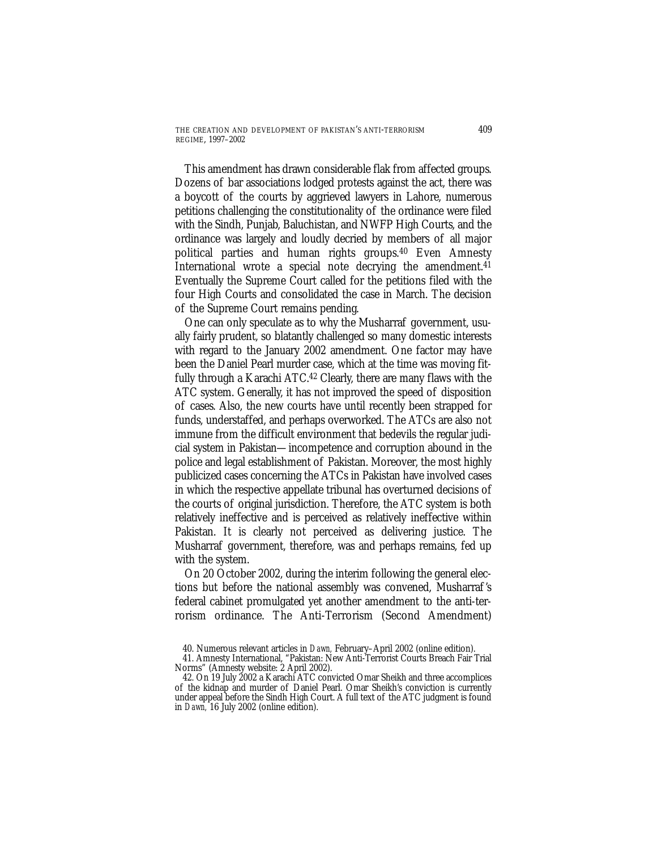This amendment has drawn considerable flak from affected groups. Dozens of bar associations lodged protests against the act, there was a boycott of the courts by aggrieved lawyers in Lahore, numerous petitions challenging the constitutionality of the ordinance were filed with the Sindh, Punjab, Baluchistan, and NWFP High Courts, and the ordinance was largely and loudly decried by members of all major political parties and human rights groups.40 Even Amnesty International wrote a special note decrying the amendment.<sup>41</sup> Eventually the Supreme Court called for the petitions filed with the four High Courts and consolidated the case in March. The decision of the Supreme Court remains pending.

One can only speculate as to why the Musharraf government, usually fairly prudent, so blatantly challenged so many domestic interests with regard to the January 2002 amendment. One factor may have been the Daniel Pearl murder case, which at the time was moving fitfully through a Karachi ATC.42 Clearly, there are many flaws with the ATC system. Generally, it has not improved the speed of disposition of cases. Also, the new courts have until recently been strapped for funds, understaffed, and perhaps overworked. The ATCs are also not immune from the difficult environment that bedevils the regular judicial system in Pakistan—incompetence and corruption abound in the police and legal establishment of Pakistan. Moreover, the most highly publicized cases concerning the ATCs in Pakistan have involved cases in which the respective appellate tribunal has overturned decisions of the courts of original jurisdiction. Therefore, the ATC system is both relatively ineffective and is perceived as relatively ineffective within Pakistan. It is clearly not perceived as delivering justice. The Musharraf government, therefore, was and perhaps remains, fed up with the system.

On 20 October 2002, during the interim following the general elections but before the national assembly was convened, Musharraf 's federal cabinet promulgated yet another amendment to the anti-terrorism ordinance. The Anti-Terrorism (Second Amendment)

<sup>40.</sup> Numerous relevant articles in *Dawn,* February–April 2002 (online edition).

<sup>41.</sup> Amnesty International, "Pakistan: New Anti-Terrorist Courts Breach Fair Trial Norms" (Amnesty website: 2 April 2002).

<sup>42.</sup> On 19 July 2002 a Karachi ATC convicted Omar Sheikh and three accomplices of the kidnap and murder of Daniel Pearl. Omar Sheikh's conviction is currently under appeal before the Sindh High Court. A full text of the ATC judgment is found in *Dawn,* 16 July 2002 (online edition).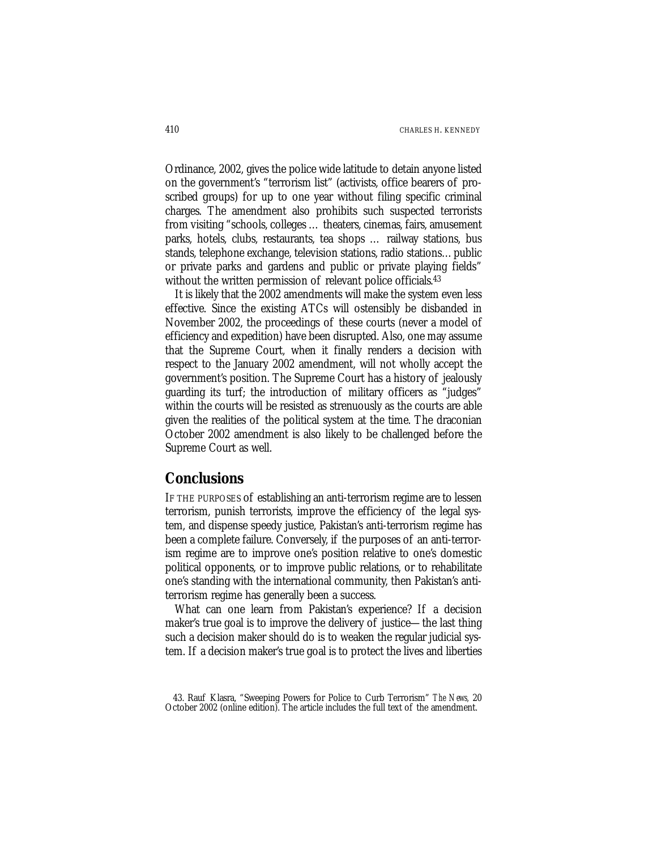Ordinance, 2002, gives the police wide latitude to detain anyone listed on the government's "terrorism list" (activists, office bearers of proscribed groups) for up to one year without filing specific criminal charges. The amendment also prohibits such suspected terrorists from visiting "schools, colleges … theaters, cinemas, fairs, amusement parks, hotels, clubs, restaurants, tea shops … railway stations, bus stands, telephone exchange, television stations, radio stations…public or private parks and gardens and public or private playing fields" without the written permission of relevant police officials.<sup>43</sup>

It is likely that the 2002 amendments will make the system even less effective. Since the existing ATCs will ostensibly be disbanded in November 2002, the proceedings of these courts (never a model of efficiency and expedition) have been disrupted. Also, one may assume that the Supreme Court, when it finally renders a decision with respect to the January 2002 amendment, will not wholly accept the government's position. The Supreme Court has a history of jealously guarding its turf; the introduction of military officers as "judges" within the courts will be resisted as strenuously as the courts are able given the realities of the political system at the time. The draconian October 2002 amendment is also likely to be challenged before the Supreme Court as well.

# **Conclusions**

IF THE PURPOSES of establishing an anti-terrorism regime are to lessen terrorism, punish terrorists, improve the efficiency of the legal system, and dispense speedy justice, Pakistan's anti-terrorism regime has been a complete failure. Conversely, if the purposes of an anti-terrorism regime are to improve one's position relative to one's domestic political opponents, or to improve public relations, or to rehabilitate one's standing with the international community, then Pakistan's antiterrorism regime has generally been a success.

What can one learn from Pakistan's experience? If a decision maker's true goal is to improve the delivery of justice—the last thing such a decision maker should do is to weaken the regular judicial system. If a decision maker's true goal is to protect the lives and liberties

<sup>43.</sup> Rauf Klasra, "Sweeping Powers for Police to Curb Terrorism" *The News,* 20 October 2002 (online edition). The article includes the full text of the amendment.